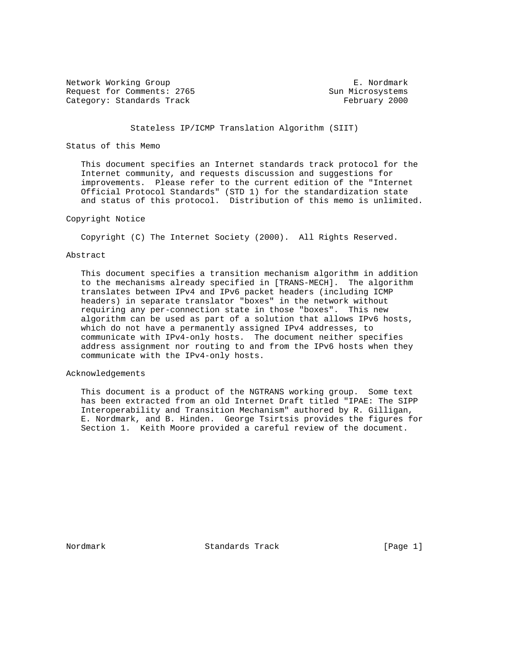Network Working Group **E. Nordmark** Request for Comments: 2765 Sun Microsystems Category: Standards Track February 2000

# Stateless IP/ICMP Translation Algorithm (SIIT)

# Status of this Memo

 This document specifies an Internet standards track protocol for the Internet community, and requests discussion and suggestions for improvements. Please refer to the current edition of the "Internet Official Protocol Standards" (STD 1) for the standardization state and status of this protocol. Distribution of this memo is unlimited.

# Copyright Notice

Copyright (C) The Internet Society (2000). All Rights Reserved.

# Abstract

 This document specifies a transition mechanism algorithm in addition to the mechanisms already specified in [TRANS-MECH]. The algorithm translates between IPv4 and IPv6 packet headers (including ICMP headers) in separate translator "boxes" in the network without requiring any per-connection state in those "boxes". This new algorithm can be used as part of a solution that allows IPv6 hosts, which do not have a permanently assigned IPv4 addresses, to communicate with IPv4-only hosts. The document neither specifies address assignment nor routing to and from the IPv6 hosts when they communicate with the IPv4-only hosts.

# Acknowledgements

 This document is a product of the NGTRANS working group. Some text has been extracted from an old Internet Draft titled "IPAE: The SIPP Interoperability and Transition Mechanism" authored by R. Gilligan, E. Nordmark, and B. Hinden. George Tsirtsis provides the figures for Section 1. Keith Moore provided a careful review of the document.

Nordmark Standards Track [Page 1]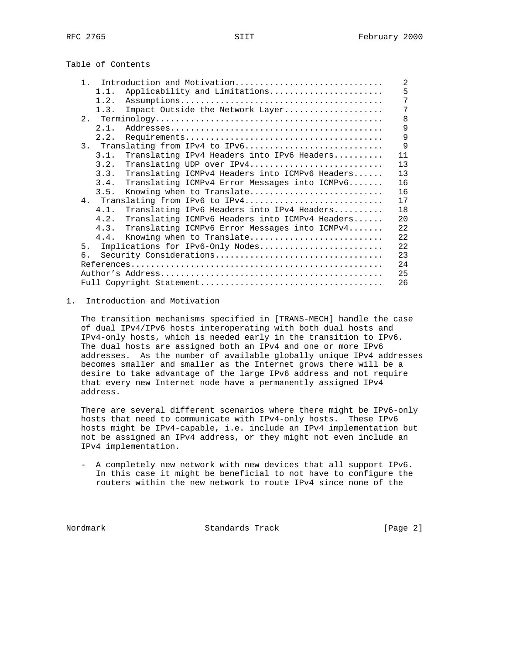# Table of Contents

| 1.<br>Introduction and Motivation                      | $\overline{2}$ |
|--------------------------------------------------------|----------------|
| Applicability and Limitations<br>1.1.                  | 5              |
| 1.2.                                                   | 7              |
| Impact Outside the Network Layer<br>1.3.               | 7              |
|                                                        | 8              |
| 2.1.                                                   | 9              |
| 2.2.                                                   | 9              |
| 3. Translating from IPv4 to IPv6                       | 9              |
| Translating IPv4 Headers into IPv6 Headers<br>3.1.     | 11             |
| 3.2.<br>Translating UDP over IPv4                      | 13             |
| Translating ICMPv4 Headers into ICMPv6 Headers<br>3.3. | 13             |
| 3.4.<br>Translating ICMPv4 Error Messages into ICMPv6  | 16             |
| Knowing when to Translate<br>3.5.                      | 16             |
| 4. Translating from IPv6 to IPv4                       | 17             |
| 4.1.<br>Translating IPv6 Headers into IPv4 Headers     | 18             |
| 4.2.<br>Translating ICMPv6 Headers into ICMPv4 Headers | 20             |
| Translating ICMPv6 Error Messages into ICMPv4<br>4.3.  | 22             |
| 4.4.<br>Knowing when to Translate                      | 22             |
| 5.<br>Implications for IPv6-Only Nodes                 | 22             |
| Security Considerations<br>ნ.                          | 23             |
|                                                        | 24             |
|                                                        | 25             |
|                                                        | 26             |

# 1. Introduction and Motivation

 The transition mechanisms specified in [TRANS-MECH] handle the case of dual IPv4/IPv6 hosts interoperating with both dual hosts and IPv4-only hosts, which is needed early in the transition to IPv6. The dual hosts are assigned both an IPv4 and one or more IPv6 addresses. As the number of available globally unique IPv4 addresses becomes smaller and smaller as the Internet grows there will be a desire to take advantage of the large IPv6 address and not require that every new Internet node have a permanently assigned IPv4 address.

 There are several different scenarios where there might be IPv6-only hosts that need to communicate with IPv4-only hosts. These IPv6 hosts might be IPv4-capable, i.e. include an IPv4 implementation but not be assigned an IPv4 address, or they might not even include an IPv4 implementation.

 - A completely new network with new devices that all support IPv6. In this case it might be beneficial to not have to configure the routers within the new network to route IPv4 since none of the

Nordmark Standards Track [Page 2]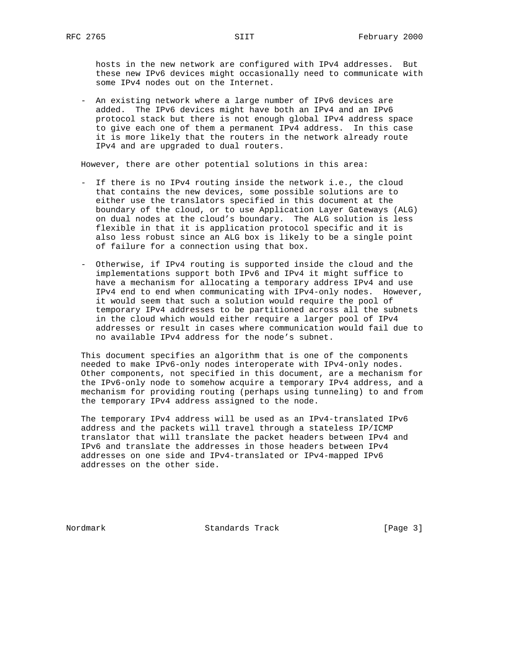hosts in the new network are configured with IPv4 addresses. But these new IPv6 devices might occasionally need to communicate with some IPv4 nodes out on the Internet.

 - An existing network where a large number of IPv6 devices are added. The IPv6 devices might have both an IPv4 and an IPv6 protocol stack but there is not enough global IPv4 address space to give each one of them a permanent IPv4 address. In this case it is more likely that the routers in the network already route IPv4 and are upgraded to dual routers.

However, there are other potential solutions in this area:

- If there is no IPv4 routing inside the network i.e., the cloud that contains the new devices, some possible solutions are to either use the translators specified in this document at the boundary of the cloud, or to use Application Layer Gateways (ALG) on dual nodes at the cloud's boundary. The ALG solution is less flexible in that it is application protocol specific and it is also less robust since an ALG box is likely to be a single point of failure for a connection using that box.
- Otherwise, if IPv4 routing is supported inside the cloud and the implementations support both IPv6 and IPv4 it might suffice to have a mechanism for allocating a temporary address IPv4 and use IPv4 end to end when communicating with IPv4-only nodes. However, it would seem that such a solution would require the pool of temporary IPv4 addresses to be partitioned across all the subnets in the cloud which would either require a larger pool of IPv4 addresses or result in cases where communication would fail due to no available IPv4 address for the node's subnet.

 This document specifies an algorithm that is one of the components needed to make IPv6-only nodes interoperate with IPv4-only nodes. Other components, not specified in this document, are a mechanism for the IPv6-only node to somehow acquire a temporary IPv4 address, and a mechanism for providing routing (perhaps using tunneling) to and from the temporary IPv4 address assigned to the node.

 The temporary IPv4 address will be used as an IPv4-translated IPv6 address and the packets will travel through a stateless IP/ICMP translator that will translate the packet headers between IPv4 and IPv6 and translate the addresses in those headers between IPv4 addresses on one side and IPv4-translated or IPv4-mapped IPv6 addresses on the other side.

Nordmark **Standards Track** [Page 3]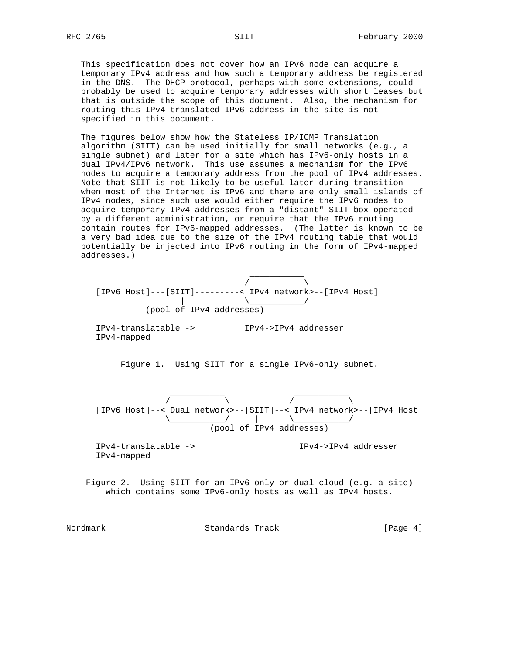This specification does not cover how an IPv6 node can acquire a temporary IPv4 address and how such a temporary address be registered in the DNS. The DHCP protocol, perhaps with some extensions, could probably be used to acquire temporary addresses with short leases but that is outside the scope of this document. Also, the mechanism for routing this IPv4-translated IPv6 address in the site is not specified in this document.

 The figures below show how the Stateless IP/ICMP Translation algorithm (SIIT) can be used initially for small networks (e.g., a single subnet) and later for a site which has IPv6-only hosts in a dual IPv4/IPv6 network. This use assumes a mechanism for the IPv6 nodes to acquire a temporary address from the pool of IPv4 addresses. Note that SIIT is not likely to be useful later during transition when most of the Internet is IPv6 and there are only small islands of IPv4 nodes, since such use would either require the IPv6 nodes to acquire temporary IPv4 addresses from a "distant" SIIT box operated by a different administration, or require that the IPv6 routing contain routes for IPv6-mapped addresses. (The latter is known to be a very bad idea due to the size of the IPv4 routing table that would potentially be injected into IPv6 routing in the form of IPv4-mapped addresses.)

 \_\_\_\_\_\_\_\_\_\_\_  $\sqrt{ }$  [IPv6 Host]---[SIIT]---------< IPv4 network>--[IPv4 Host]  $\qquad \qquad \Box$  (pool of IPv4 addresses) IPv4-translatable -> IPv4->IPv4 addresser IPv4-mapped

Figure 1. Using SIIT for a single IPv6-only subnet.

 $\overline{\phantom{a}}$  , and the contract of the contract of the contract of the contract of the contract of the contract of the contract of the contract of the contract of the contract of the contract of the contract of the contrac  $\qquad \qquad \angle$   $\qquad \qquad \angle$   $\qquad \qquad \angle$  [IPv6 Host]--< Dual network>--[SIIT]--< IPv4 network>--[IPv4 Host] \\_\_\_\_\_\_\_\_\_\_\_/ | \\_\_\_\_\_\_\_\_\_\_\_/ (pool of IPv4 addresses) IPv4-translatable -> IPv4->IPv4 addresser IPv4-mapped

 Figure 2. Using SIIT for an IPv6-only or dual cloud (e.g. a site) which contains some IPv6-only hosts as well as IPv4 hosts.

Nordmark Standards Track [Page 4]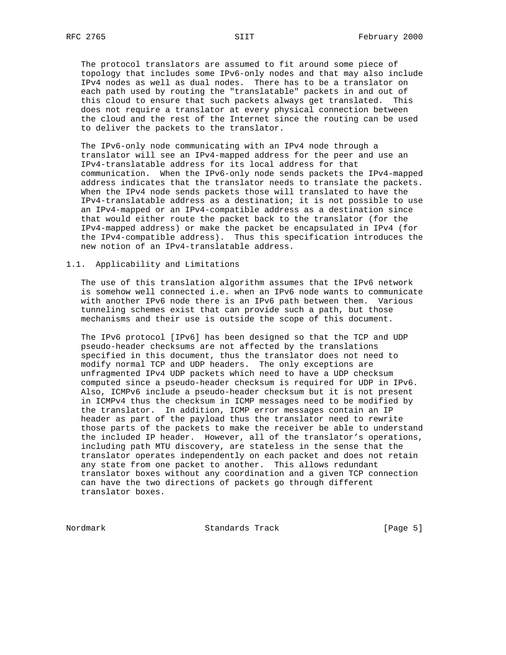The protocol translators are assumed to fit around some piece of topology that includes some IPv6-only nodes and that may also include IPv4 nodes as well as dual nodes. There has to be a translator on each path used by routing the "translatable" packets in and out of this cloud to ensure that such packets always get translated. This does not require a translator at every physical connection between the cloud and the rest of the Internet since the routing can be used to deliver the packets to the translator.

 The IPv6-only node communicating with an IPv4 node through a translator will see an IPv4-mapped address for the peer and use an IPv4-translatable address for its local address for that communication. When the IPv6-only node sends packets the IPv4-mapped address indicates that the translator needs to translate the packets. When the IPv4 node sends packets those will translated to have the IPv4-translatable address as a destination; it is not possible to use an IPv4-mapped or an IPv4-compatible address as a destination since that would either route the packet back to the translator (for the IPv4-mapped address) or make the packet be encapsulated in IPv4 (for the IPv4-compatible address). Thus this specification introduces the new notion of an IPv4-translatable address.

## 1.1. Applicability and Limitations

 The use of this translation algorithm assumes that the IPv6 network is somehow well connected i.e. when an IPv6 node wants to communicate with another IPv6 node there is an IPv6 path between them. Various tunneling schemes exist that can provide such a path, but those mechanisms and their use is outside the scope of this document.

 The IPv6 protocol [IPv6] has been designed so that the TCP and UDP pseudo-header checksums are not affected by the translations specified in this document, thus the translator does not need to modify normal TCP and UDP headers. The only exceptions are unfragmented IPv4 UDP packets which need to have a UDP checksum computed since a pseudo-header checksum is required for UDP in IPv6. Also, ICMPv6 include a pseudo-header checksum but it is not present in ICMPv4 thus the checksum in ICMP messages need to be modified by the translator. In addition, ICMP error messages contain an IP header as part of the payload thus the translator need to rewrite those parts of the packets to make the receiver be able to understand the included IP header. However, all of the translator's operations, including path MTU discovery, are stateless in the sense that the translator operates independently on each packet and does not retain any state from one packet to another. This allows redundant translator boxes without any coordination and a given TCP connection can have the two directions of packets go through different translator boxes.

Nordmark **Standards Track** [Page 5]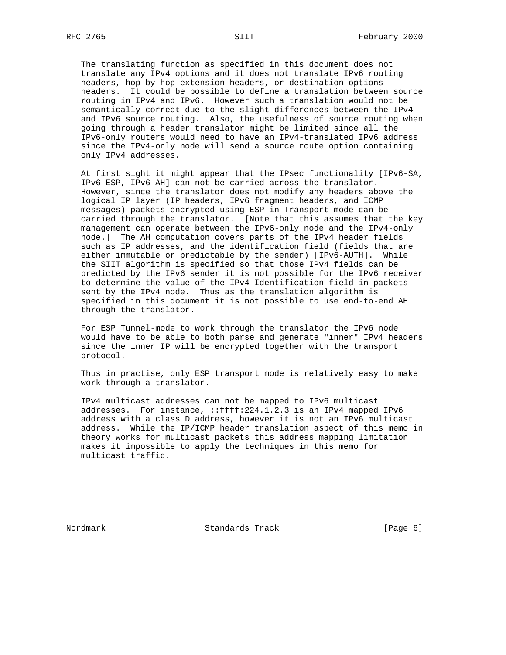The translating function as specified in this document does not translate any IPv4 options and it does not translate IPv6 routing headers, hop-by-hop extension headers, or destination options headers. It could be possible to define a translation between source routing in IPv4 and IPv6. However such a translation would not be semantically correct due to the slight differences between the IPv4 and IPv6 source routing. Also, the usefulness of source routing when going through a header translator might be limited since all the IPv6-only routers would need to have an IPv4-translated IPv6 address since the IPv4-only node will send a source route option containing only IPv4 addresses.

 At first sight it might appear that the IPsec functionality [IPv6-SA, IPv6-ESP, IPv6-AH] can not be carried across the translator. However, since the translator does not modify any headers above the logical IP layer (IP headers, IPv6 fragment headers, and ICMP messages) packets encrypted using ESP in Transport-mode can be carried through the translator. [Note that this assumes that the key management can operate between the IPv6-only node and the IPv4-only node.] The AH computation covers parts of the IPv4 header fields such as IP addresses, and the identification field (fields that are either immutable or predictable by the sender) [IPv6-AUTH]. While the SIIT algorithm is specified so that those IPv4 fields can be predicted by the IPv6 sender it is not possible for the IPv6 receiver to determine the value of the IPv4 Identification field in packets sent by the IPv4 node. Thus as the translation algorithm is specified in this document it is not possible to use end-to-end AH through the translator.

 For ESP Tunnel-mode to work through the translator the IPv6 node would have to be able to both parse and generate "inner" IPv4 headers since the inner IP will be encrypted together with the transport protocol.

 Thus in practise, only ESP transport mode is relatively easy to make work through a translator.

 IPv4 multicast addresses can not be mapped to IPv6 multicast addresses. For instance, ::ffff:224.1.2.3 is an IPv4 mapped IPv6 address with a class D address, however it is not an IPv6 multicast address. While the IP/ICMP header translation aspect of this memo in theory works for multicast packets this address mapping limitation makes it impossible to apply the techniques in this memo for multicast traffic.

Nordmark **Standards Track** [Page 6]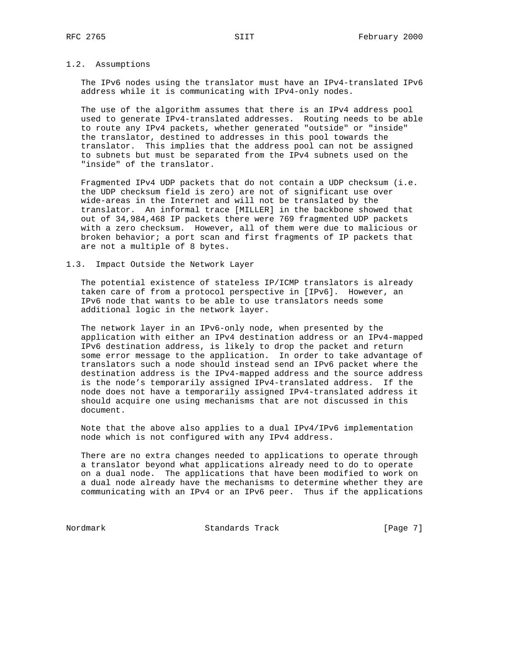## 1.2. Assumptions

 The IPv6 nodes using the translator must have an IPv4-translated IPv6 address while it is communicating with IPv4-only nodes.

 The use of the algorithm assumes that there is an IPv4 address pool used to generate IPv4-translated addresses. Routing needs to be able to route any IPv4 packets, whether generated "outside" or "inside" the translator, destined to addresses in this pool towards the translator. This implies that the address pool can not be assigned to subnets but must be separated from the IPv4 subnets used on the "inside" of the translator.

 Fragmented IPv4 UDP packets that do not contain a UDP checksum (i.e. the UDP checksum field is zero) are not of significant use over wide-areas in the Internet and will not be translated by the translator. An informal trace [MILLER] in the backbone showed that out of 34,984,468 IP packets there were 769 fragmented UDP packets with a zero checksum. However, all of them were due to malicious or broken behavior; a port scan and first fragments of IP packets that are not a multiple of 8 bytes.

### 1.3. Impact Outside the Network Layer

 The potential existence of stateless IP/ICMP translators is already taken care of from a protocol perspective in [IPv6]. However, an IPv6 node that wants to be able to use translators needs some additional logic in the network layer.

 The network layer in an IPv6-only node, when presented by the application with either an IPv4 destination address or an IPv4-mapped IPv6 destination address, is likely to drop the packet and return some error message to the application. In order to take advantage of translators such a node should instead send an IPv6 packet where the destination address is the IPv4-mapped address and the source address is the node's temporarily assigned IPv4-translated address. If the node does not have a temporarily assigned IPv4-translated address it should acquire one using mechanisms that are not discussed in this document.

 Note that the above also applies to a dual IPv4/IPv6 implementation node which is not configured with any IPv4 address.

 There are no extra changes needed to applications to operate through a translator beyond what applications already need to do to operate on a dual node. The applications that have been modified to work on a dual node already have the mechanisms to determine whether they are communicating with an IPv4 or an IPv6 peer. Thus if the applications

Nordmark Standards Track [Page 7]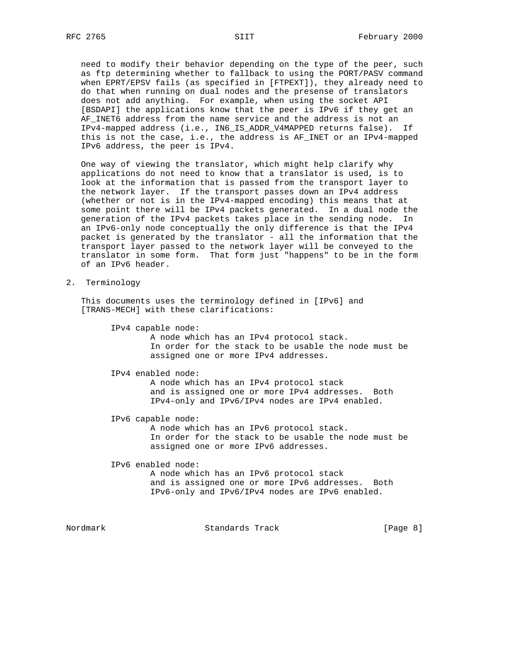need to modify their behavior depending on the type of the peer, such as ftp determining whether to fallback to using the PORT/PASV command when EPRT/EPSV fails (as specified in [FTPEXT]), they already need to do that when running on dual nodes and the presense of translators does not add anything. For example, when using the socket API [BSDAPI] the applications know that the peer is IPv6 if they get an AF\_INET6 address from the name service and the address is not an IPv4-mapped address (i.e., IN6\_IS\_ADDR\_V4MAPPED returns false). If this is not the case, i.e., the address is AF\_INET or an IPv4-mapped IPv6 address, the peer is IPv4.

 One way of viewing the translator, which might help clarify why applications do not need to know that a translator is used, is to look at the information that is passed from the transport layer to the network layer. If the transport passes down an IPv4 address (whether or not is in the IPv4-mapped encoding) this means that at some point there will be IPv4 packets generated. In a dual node the generation of the IPv4 packets takes place in the sending node. In an IPv6-only node conceptually the only difference is that the IPv4 packet is generated by the translator - all the information that the transport layer passed to the network layer will be conveyed to the translator in some form. That form just "happens" to be in the form of an IPv6 header.

2. Terminology

 This documents uses the terminology defined in [IPv6] and [TRANS-MECH] with these clarifications:

IPv4 capable node:

 A node which has an IPv4 protocol stack. In order for the stack to be usable the node must be assigned one or more IPv4 addresses.

 IPv4 enabled node: A node which has an IPv4 protocol stack and is assigned one or more IPv4 addresses. Both IPv4-only and IPv6/IPv4 nodes are IPv4 enabled.

IPv6 capable node:

 A node which has an IPv6 protocol stack. In order for the stack to be usable the node must be assigned one or more IPv6 addresses.

IPv6 enabled node:

 A node which has an IPv6 protocol stack and is assigned one or more IPv6 addresses. Both IPv6-only and IPv6/IPv4 nodes are IPv6 enabled.

Nordmark Standards Track [Page 8]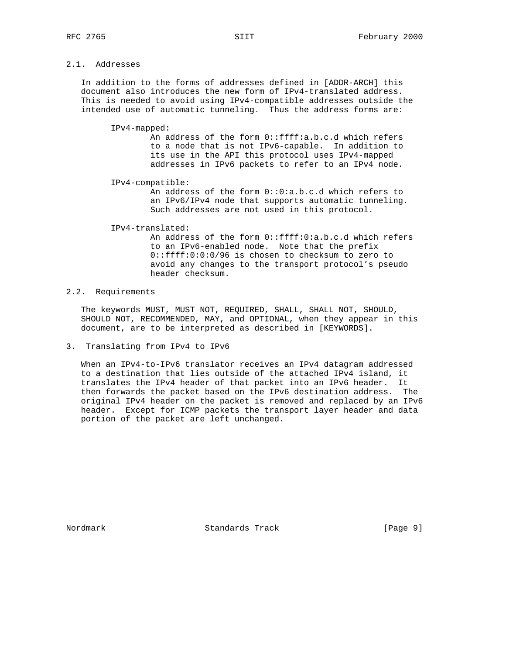# 2.1. Addresses

 In addition to the forms of addresses defined in [ADDR-ARCH] this document also introduces the new form of IPv4-translated address. This is needed to avoid using IPv4-compatible addresses outside the intended use of automatic tunneling. Thus the address forms are:

IPv4-mapped:

 An address of the form 0::ffff:a.b.c.d which refers to a node that is not IPv6-capable. In addition to its use in the API this protocol uses IPv4-mapped addresses in IPv6 packets to refer to an IPv4 node.

IPv4-compatible:

 An address of the form 0::0:a.b.c.d which refers to an IPv6/IPv4 node that supports automatic tunneling. Such addresses are not used in this protocol.

IPv4-translated:

 An address of the form 0::ffff:0:a.b.c.d which refers to an IPv6-enabled node. Note that the prefix 0::ffff:0:0:0/96 is chosen to checksum to zero to avoid any changes to the transport protocol's pseudo header checksum.

# 2.2. Requirements

 The keywords MUST, MUST NOT, REQUIRED, SHALL, SHALL NOT, SHOULD, SHOULD NOT, RECOMMENDED, MAY, and OPTIONAL, when they appear in this document, are to be interpreted as described in [KEYWORDS].

3. Translating from IPv4 to IPv6

When an IPv4-to-IPv6 translator receives an IPv4 datagram addressed to a destination that lies outside of the attached IPv4 island, it translates the IPv4 header of that packet into an IPv6 header. It then forwards the packet based on the IPv6 destination address. The original IPv4 header on the packet is removed and replaced by an IPv6 header. Except for ICMP packets the transport layer header and data portion of the packet are left unchanged.

Nordmark Standards Track [Page 9]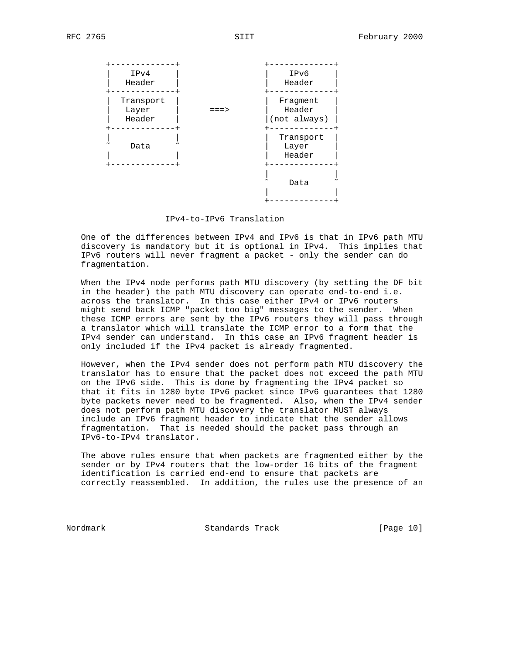

IPv4-to-IPv6 Translation

 One of the differences between IPv4 and IPv6 is that in IPv6 path MTU discovery is mandatory but it is optional in IPv4. This implies that IPv6 routers will never fragment a packet - only the sender can do fragmentation.

 When the IPv4 node performs path MTU discovery (by setting the DF bit in the header) the path MTU discovery can operate end-to-end i.e. across the translator. In this case either IPv4 or IPv6 routers might send back ICMP "packet too big" messages to the sender. When these ICMP errors are sent by the IPv6 routers they will pass through a translator which will translate the ICMP error to a form that the IPv4 sender can understand. In this case an IPv6 fragment header is only included if the IPv4 packet is already fragmented.

 However, when the IPv4 sender does not perform path MTU discovery the translator has to ensure that the packet does not exceed the path MTU on the IPv6 side. This is done by fragmenting the IPv4 packet so that it fits in 1280 byte IPv6 packet since IPv6 guarantees that 1280 byte packets never need to be fragmented. Also, when the IPv4 sender does not perform path MTU discovery the translator MUST always include an IPv6 fragment header to indicate that the sender allows fragmentation. That is needed should the packet pass through an IPv6-to-IPv4 translator.

 The above rules ensure that when packets are fragmented either by the sender or by IPv4 routers that the low-order 16 bits of the fragment identification is carried end-end to ensure that packets are correctly reassembled. In addition, the rules use the presence of an

Nordmark Standards Track [Page 10]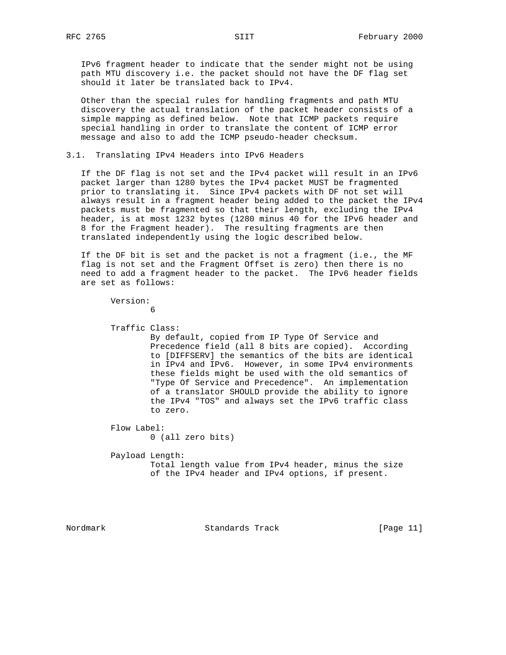IPv6 fragment header to indicate that the sender might not be using path MTU discovery i.e. the packet should not have the DF flag set should it later be translated back to IPv4.

 Other than the special rules for handling fragments and path MTU discovery the actual translation of the packet header consists of a simple mapping as defined below. Note that ICMP packets require special handling in order to translate the content of ICMP error message and also to add the ICMP pseudo-header checksum.

## 3.1. Translating IPv4 Headers into IPv6 Headers

 If the DF flag is not set and the IPv4 packet will result in an IPv6 packet larger than 1280 bytes the IPv4 packet MUST be fragmented prior to translating it. Since IPv4 packets with DF not set will always result in a fragment header being added to the packet the IPv4 packets must be fragmented so that their length, excluding the IPv4 header, is at most 1232 bytes (1280 minus 40 for the IPv6 header and 8 for the Fragment header). The resulting fragments are then translated independently using the logic described below.

 If the DF bit is set and the packet is not a fragment (i.e., the MF flag is not set and the Fragment Offset is zero) then there is no need to add a fragment header to the packet. The IPv6 header fields are set as follows:

 Version:  $\sim$  6 Traffic Class: By default, copied from IP Type Of Service and Precedence field (all 8 bits are copied). According to [DIFFSERV] the semantics of the bits are identical in IPv4 and IPv6. However, in some IPv4 environments these fields might be used with the old semantics of "Type Of Service and Precedence". An implementation

> the IPv4 "TOS" and always set the IPv6 traffic class to zero. Flow Label:

> > 0 (all zero bits)

 Payload Length: Total length value from IPv4 header, minus the size of the IPv4 header and IPv4 options, if present.

of a translator SHOULD provide the ability to ignore

Nordmark Standards Track [Page 11]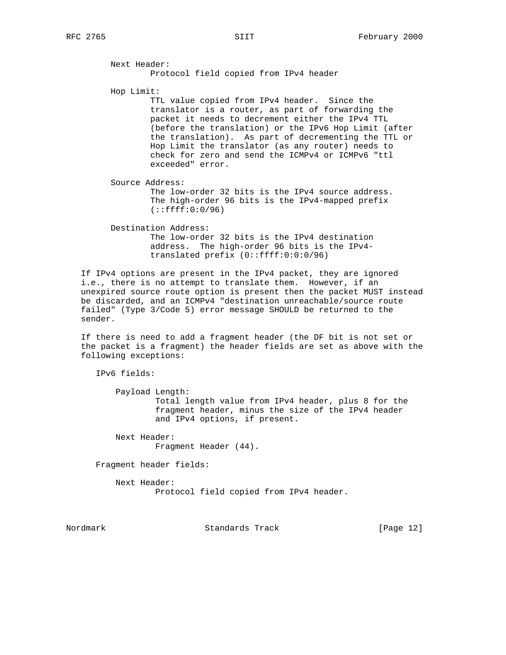Next Header: Protocol field copied from IPv4 header Hop Limit: TTL value copied from IPv4 header. Since the translator is a router, as part of forwarding the packet it needs to decrement either the IPv4 TTL (before the translation) or the IPv6 Hop Limit (after the translation). As part of decrementing the TTL or Hop Limit the translator (as any router) needs to check for zero and send the ICMPv4 or ICMPv6 "ttl exceeded" error. Source Address: The low-order 32 bits is the IPv4 source address. The high-order 96 bits is the IPv4-mapped prefix (::ffff:0:0/96) Destination Address: The low-order 32 bits is the IPv4 destination address. The high-order 96 bits is the IPv4 translated prefix (0::ffff:0:0:0/96)

 If IPv4 options are present in the IPv4 packet, they are ignored i.e., there is no attempt to translate them. However, if an unexpired source route option is present then the packet MUST instead be discarded, and an ICMPv4 "destination unreachable/source route failed" (Type 3/Code 5) error message SHOULD be returned to the sender.

 If there is need to add a fragment header (the DF bit is not set or the packet is a fragment) the header fields are set as above with the following exceptions:

IPv6 fields:

 Payload Length: Total length value from IPv4 header, plus 8 for the fragment header, minus the size of the IPv4 header and IPv4 options, if present.

 Next Header: Fragment Header (44).

Fragment header fields:

 Next Header: Protocol field copied from IPv4 header.

Nordmark Standards Track [Page 12]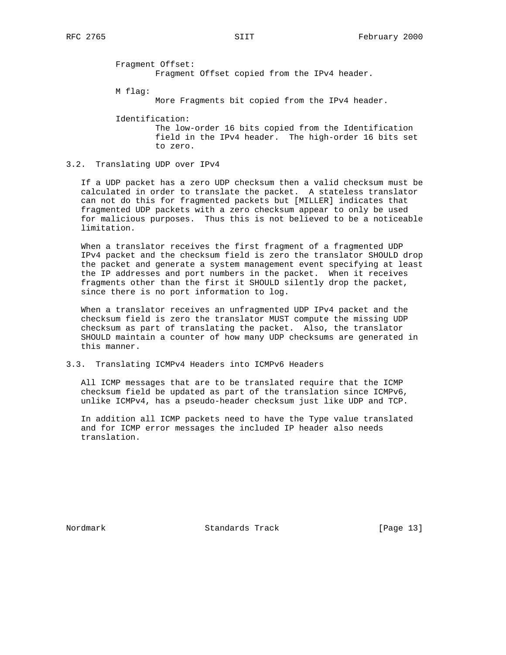Fragment Offset: Fragment Offset copied from the IPv4 header.

M flag:

More Fragments bit copied from the IPv4 header.

Identification:

 The low-order 16 bits copied from the Identification field in the IPv4 header. The high-order 16 bits set to zero.

# 3.2. Translating UDP over IPv4

 If a UDP packet has a zero UDP checksum then a valid checksum must be calculated in order to translate the packet. A stateless translator can not do this for fragmented packets but [MILLER] indicates that fragmented UDP packets with a zero checksum appear to only be used for malicious purposes. Thus this is not believed to be a noticeable limitation.

 When a translator receives the first fragment of a fragmented UDP IPv4 packet and the checksum field is zero the translator SHOULD drop the packet and generate a system management event specifying at least the IP addresses and port numbers in the packet. When it receives fragments other than the first it SHOULD silently drop the packet, since there is no port information to log.

 When a translator receives an unfragmented UDP IPv4 packet and the checksum field is zero the translator MUST compute the missing UDP checksum as part of translating the packet. Also, the translator SHOULD maintain a counter of how many UDP checksums are generated in this manner.

# 3.3. Translating ICMPv4 Headers into ICMPv6 Headers

 All ICMP messages that are to be translated require that the ICMP checksum field be updated as part of the translation since ICMPv6, unlike ICMPv4, has a pseudo-header checksum just like UDP and TCP.

 In addition all ICMP packets need to have the Type value translated and for ICMP error messages the included IP header also needs translation.

Nordmark Standards Track [Page 13]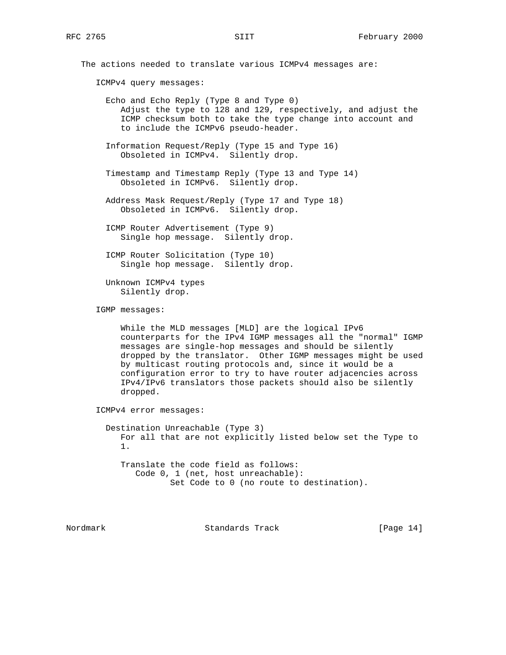The actions needed to translate various ICMPv4 messages are:

ICMPv4 query messages:

 Echo and Echo Reply (Type 8 and Type 0) Adjust the type to 128 and 129, respectively, and adjust the ICMP checksum both to take the type change into account and to include the ICMPv6 pseudo-header.

 Information Request/Reply (Type 15 and Type 16) Obsoleted in ICMPv4. Silently drop.

 Timestamp and Timestamp Reply (Type 13 and Type 14) Obsoleted in ICMPv6. Silently drop.

 Address Mask Request/Reply (Type 17 and Type 18) Obsoleted in ICMPv6. Silently drop.

 ICMP Router Advertisement (Type 9) Single hop message. Silently drop.

 ICMP Router Solicitation (Type 10) Single hop message. Silently drop.

 Unknown ICMPv4 types Silently drop.

IGMP messages:

 While the MLD messages [MLD] are the logical IPv6 counterparts for the IPv4 IGMP messages all the "normal" IGMP messages are single-hop messages and should be silently dropped by the translator. Other IGMP messages might be used by multicast routing protocols and, since it would be a configuration error to try to have router adjacencies across IPv4/IPv6 translators those packets should also be silently dropped.

ICMPv4 error messages:

 Destination Unreachable (Type 3) For all that are not explicitly listed below set the Type to 1.

> Translate the code field as follows: Code 0, 1 (net, host unreachable): Set Code to 0 (no route to destination).

Nordmark Standards Track [Page 14]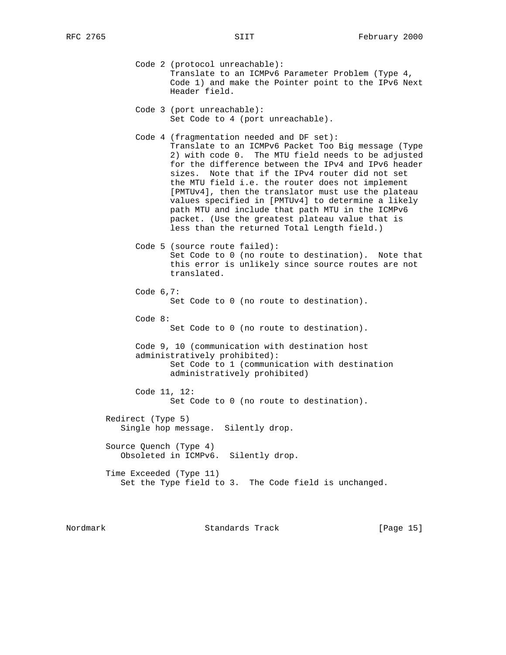- Code 2 (protocol unreachable): Translate to an ICMPv6 Parameter Problem (Type 4, Code 1) and make the Pointer point to the IPv6 Next Header field.
- Code 3 (port unreachable): Set Code to 4 (port unreachable).
- Code 4 (fragmentation needed and DF set): Translate to an ICMPv6 Packet Too Big message (Type 2) with code 0. The MTU field needs to be adjusted for the difference between the IPv4 and IPv6 header sizes. Note that if the IPv4 router did not set the MTU field i.e. the router does not implement [PMTUv4], then the translator must use the plateau values specified in [PMTUv4] to determine a likely path MTU and include that path MTU in the ICMPv6 packet. (Use the greatest plateau value that is less than the returned Total Length field.)
- Code 5 (source route failed): Set Code to 0 (no route to destination). Note that this error is unlikely since source routes are not translated.
- Code 6,7: Set Code to 0 (no route to destination). Code 8: Set Code to 0 (no route to destination). Code 9, 10 (communication with destination host administratively prohibited):

 Set Code to 1 (communication with destination administratively prohibited)

- Code 11, 12: Set Code to 0 (no route to destination).
- Redirect (Type 5) Single hop message. Silently drop.
- Source Quench (Type 4) Obsoleted in ICMPv6. Silently drop.
- Time Exceeded (Type 11) Set the Type field to 3. The Code field is unchanged.

Nordmark Standards Track [Page 15]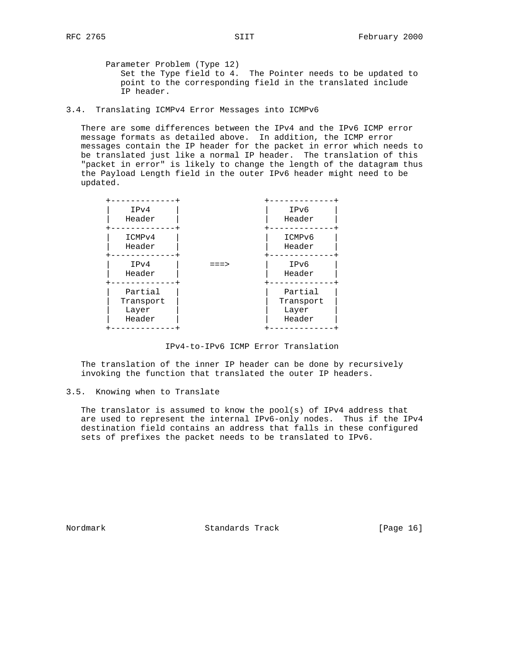Parameter Problem (Type 12) Set the Type field to 4. The Pointer needs to be updated to point to the corresponding field in the translated include IP header.

3.4. Translating ICMPv4 Error Messages into ICMPv6

 There are some differences between the IPv4 and the IPv6 ICMP error message formats as detailed above. In addition, the ICMP error messages contain the IP header for the packet in error which needs to be translated just like a normal IP header. The translation of this "packet in error" is likely to change the length of the datagram thus the Payload Length field in the outer IPv6 header might need to be updated.

| IPv4<br>Header                          |        | IPv6<br>Header                          |
|-----------------------------------------|--------|-----------------------------------------|
| ICMPv4<br>Header                        |        | ICMPv6<br>Header                        |
| IPv4<br>Header                          | $==->$ | IPv6<br>Header                          |
| Partial<br>Transport<br>Layer<br>Header |        | Partial<br>Transport<br>Layer<br>Header |

IPv4-to-IPv6 ICMP Error Translation

 The translation of the inner IP header can be done by recursively invoking the function that translated the outer IP headers.

# 3.5. Knowing when to Translate

The translator is assumed to know the  $pool(s)$  of IPv4 address that are used to represent the internal IPv6-only nodes. Thus if the IPv4 destination field contains an address that falls in these configured sets of prefixes the packet needs to be translated to IPv6.

Nordmark Standards Track [Page 16]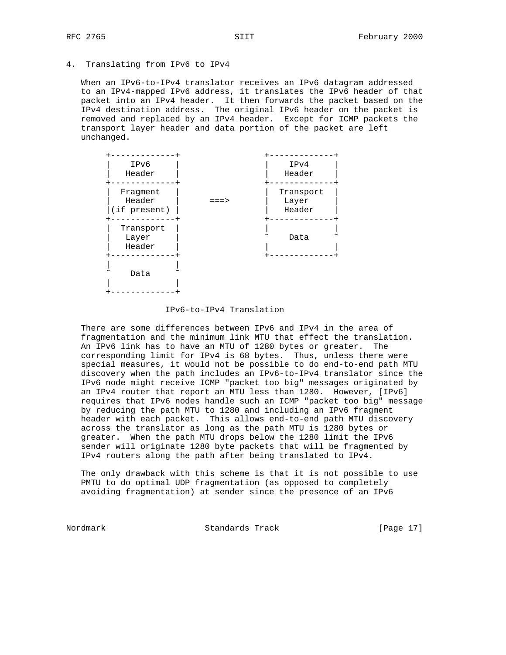4. Translating from IPv6 to IPv4

 When an IPv6-to-IPv4 translator receives an IPv6 datagram addressed to an IPv4-mapped IPv6 address, it translates the IPv6 header of that packet into an IPv4 header. It then forwards the packet based on the IPv4 destination address. The original IPv6 header on the packet is removed and replaced by an IPv4 header. Except for ICMP packets the transport layer header and data portion of the packet are left unchanged.

| IPv6<br>Header                     |      | IPv4<br>Header               |
|------------------------------------|------|------------------------------|
| Fraqment<br>Header<br>(if present) | ===> | Transport<br>Layer<br>Header |
| Transport<br>Layer<br>Header       |      | Data                         |
| Data                               |      |                              |

### IPv6-to-IPv4 Translation

 There are some differences between IPv6 and IPv4 in the area of fragmentation and the minimum link MTU that effect the translation. An IPv6 link has to have an MTU of 1280 bytes or greater. The corresponding limit for IPv4 is 68 bytes. Thus, unless there were special measures, it would not be possible to do end-to-end path MTU discovery when the path includes an IPv6-to-IPv4 translator since the IPv6 node might receive ICMP "packet too big" messages originated by an IPv4 router that report an MTU less than 1280. However, [IPv6] requires that IPv6 nodes handle such an ICMP "packet too big" message by reducing the path MTU to 1280 and including an IPv6 fragment header with each packet. This allows end-to-end path MTU discovery across the translator as long as the path MTU is 1280 bytes or greater. When the path MTU drops below the 1280 limit the IPv6 sender will originate 1280 byte packets that will be fragmented by IPv4 routers along the path after being translated to IPv4.

 The only drawback with this scheme is that it is not possible to use PMTU to do optimal UDP fragmentation (as opposed to completely avoiding fragmentation) at sender since the presence of an IPv6

Nordmark Standards Track [Page 17]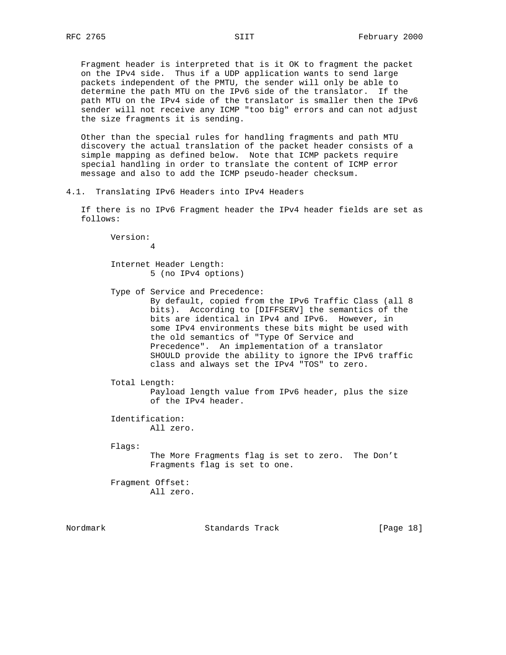Fragment header is interpreted that is it OK to fragment the packet on the IPv4 side. Thus if a UDP application wants to send large packets independent of the PMTU, the sender will only be able to determine the path MTU on the IPv6 side of the translator. If the path MTU on the IPv4 side of the translator is smaller then the IPv6 sender will not receive any ICMP "too big" errors and can not adjust the size fragments it is sending.

 Other than the special rules for handling fragments and path MTU discovery the actual translation of the packet header consists of a simple mapping as defined below. Note that ICMP packets require special handling in order to translate the content of ICMP error message and also to add the ICMP pseudo-header checksum.

4.1. Translating IPv6 Headers into IPv4 Headers

 If there is no IPv6 Fragment header the IPv4 header fields are set as follows:

 Version: 4

> Internet Header Length: 5 (no IPv4 options)

- Type of Service and Precedence: By default, copied from the IPv6 Traffic Class (all 8 bits). According to [DIFFSERV] the semantics of the bits are identical in IPv4 and IPv6. However, in some IPv4 environments these bits might be used with the old semantics of "Type Of Service and Precedence". An implementation of a translator SHOULD provide the ability to ignore the IPv6 traffic class and always set the IPv4 "TOS" to zero.
- Total Length: Payload length value from IPv6 header, plus the size of the IPv4 header.

 Identification: All zero.

Flags:

 The More Fragments flag is set to zero. The Don't Fragments flag is set to one.

 Fragment Offset: All zero.

Nordmark Standards Track [Page 18]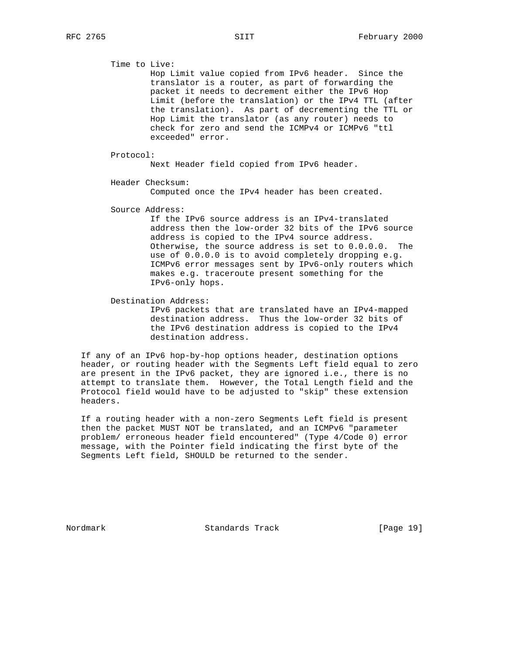Time to Live: Hop Limit value copied from IPv6 header. Since the translator is a router, as part of forwarding the packet it needs to decrement either the IPv6 Hop Limit (before the translation) or the IPv4 TTL (after the translation). As part of decrementing the TTL or Hop Limit the translator (as any router) needs to check for zero and send the ICMPv4 or ICMPv6 "ttl exceeded" error. Protocol: Next Header field copied from IPv6 header. Header Checksum: Computed once the IPv4 header has been created. Source Address: If the IPv6 source address is an IPv4-translated address then the low-order 32 bits of the IPv6 source address is copied to the IPv4 source address. Otherwise, the source address is set to 0.0.0.0. The use of 0.0.0.0 is to avoid completely dropping e.g. ICMPv6 error messages sent by IPv6-only routers which makes e.g. traceroute present something for the IPv6-only hops. Destination Address: IPv6 packets that are translated have an IPv4-mapped destination address. Thus the low-order 32 bits of the IPv6 destination address is copied to the IPv4 destination address. If any of an IPv6 hop-by-hop options header, destination options header, or routing header with the Segments Left field equal to zero

headers.

Nordmark Standards Track [Page 19]

 are present in the IPv6 packet, they are ignored i.e., there is no attempt to translate them. However, the Total Length field and the Protocol field would have to be adjusted to "skip" these extension

 If a routing header with a non-zero Segments Left field is present then the packet MUST NOT be translated, and an ICMPv6 "parameter problem/ erroneous header field encountered" (Type 4/Code 0) error message, with the Pointer field indicating the first byte of the

Segments Left field, SHOULD be returned to the sender.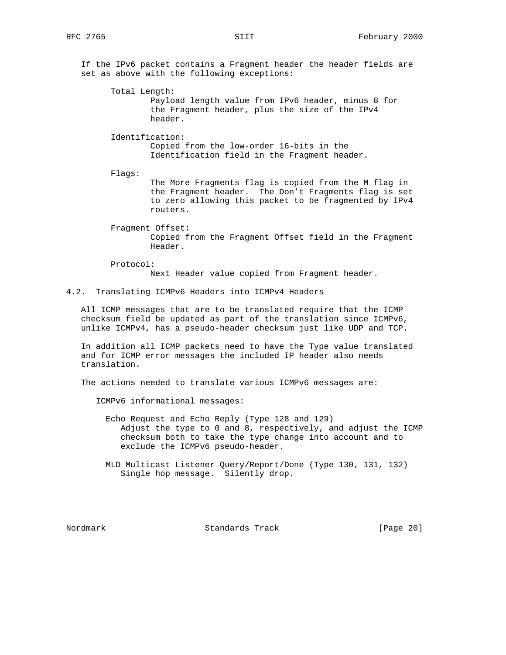If the IPv6 packet contains a Fragment header the header fields are set as above with the following exceptions:

 Total Length: Payload length value from IPv6 header, minus 8 for the Fragment header, plus the size of the IPv4 header.

 Identification: Copied from the low-order 16-bits in the Identification field in the Fragment header.

Flags:

 The More Fragments flag is copied from the M flag in the Fragment header. The Don't Fragments flag is set to zero allowing this packet to be fragmented by IPv4 routers.

 Fragment Offset: Copied from the Fragment Offset field in the Fragment Header.

Protocol:

Next Header value copied from Fragment header.

4.2. Translating ICMPv6 Headers into ICMPv4 Headers

 All ICMP messages that are to be translated require that the ICMP checksum field be updated as part of the translation since ICMPv6, unlike ICMPv4, has a pseudo-header checksum just like UDP and TCP.

 In addition all ICMP packets need to have the Type value translated and for ICMP error messages the included IP header also needs translation.

The actions needed to translate various ICMPv6 messages are:

ICMPv6 informational messages:

- Echo Request and Echo Reply (Type 128 and 129) Adjust the type to 0 and 8, respectively, and adjust the ICMP checksum both to take the type change into account and to exclude the ICMPv6 pseudo-header.
- MLD Multicast Listener Query/Report/Done (Type 130, 131, 132) Single hop message. Silently drop.

Nordmark Standards Track [Page 20]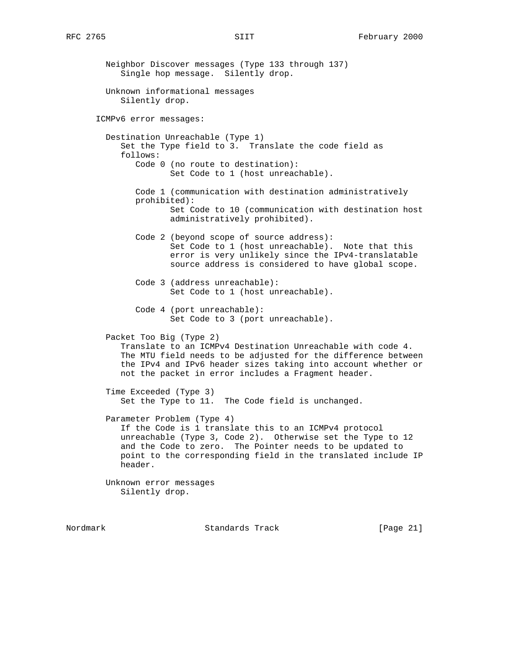Neighbor Discover messages (Type 133 through 137) Single hop message. Silently drop. Unknown informational messages Silently drop. ICMPv6 error messages: Destination Unreachable (Type 1) Set the Type field to 3. Translate the code field as follows: Code 0 (no route to destination): Set Code to 1 (host unreachable). Code 1 (communication with destination administratively prohibited): Set Code to 10 (communication with destination host administratively prohibited). Code 2 (beyond scope of source address): Set Code to 1 (host unreachable). Note that this error is very unlikely since the IPv4-translatable source address is considered to have global scope. Code 3 (address unreachable): Set Code to 1 (host unreachable). Code 4 (port unreachable): Set Code to 3 (port unreachable). Packet Too Big (Type 2) Translate to an ICMPv4 Destination Unreachable with code 4. The MTU field needs to be adjusted for the difference between the IPv4 and IPv6 header sizes taking into account whether or not the packet in error includes a Fragment header. Time Exceeded (Type 3) Set the Type to 11. The Code field is unchanged. Parameter Problem (Type 4) If the Code is 1 translate this to an ICMPv4 protocol unreachable (Type 3, Code 2). Otherwise set the Type to 12 and the Code to zero. The Pointer needs to be updated to point to the corresponding field in the translated include IP header. Unknown error messages Silently drop.

Nordmark Standards Track [Page 21]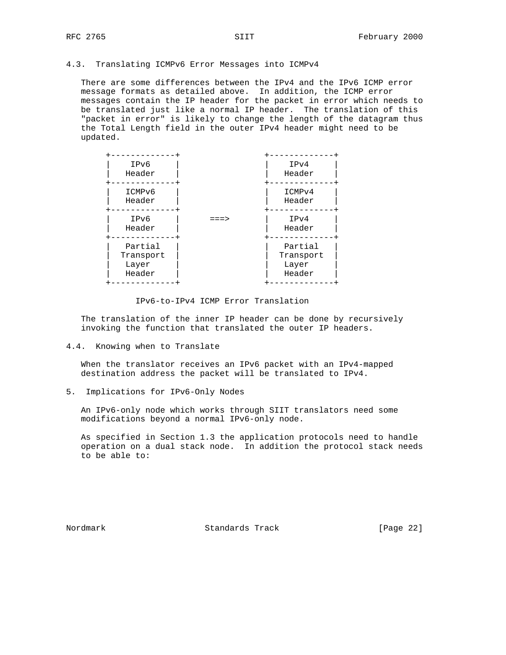# 4.3. Translating ICMPv6 Error Messages into ICMPv4

 There are some differences between the IPv4 and the IPv6 ICMP error message formats as detailed above. In addition, the ICMP error messages contain the IP header for the packet in error which needs to be translated just like a normal IP header. The translation of this "packet in error" is likely to change the length of the datagram thus the Total Length field in the outer IPv4 header might need to be updated.

| IPv6<br>Header                          |        | IPv4<br>Header                          |
|-----------------------------------------|--------|-----------------------------------------|
| ICMPv6<br>Header                        |        | ICMPv4<br>Header                        |
| IPv6<br>Header                          | $==->$ | IPv4<br>Header                          |
| Partial<br>Transport<br>Layer<br>Header |        | Partial<br>Transport<br>Layer<br>Header |

#### IPv6-to-IPv4 ICMP Error Translation

 The translation of the inner IP header can be done by recursively invoking the function that translated the outer IP headers.

4.4. Knowing when to Translate

 When the translator receives an IPv6 packet with an IPv4-mapped destination address the packet will be translated to IPv4.

5. Implications for IPv6-Only Nodes

 An IPv6-only node which works through SIIT translators need some modifications beyond a normal IPv6-only node.

 As specified in Section 1.3 the application protocols need to handle operation on a dual stack node. In addition the protocol stack needs to be able to:

Nordmark Standards Track [Page 22]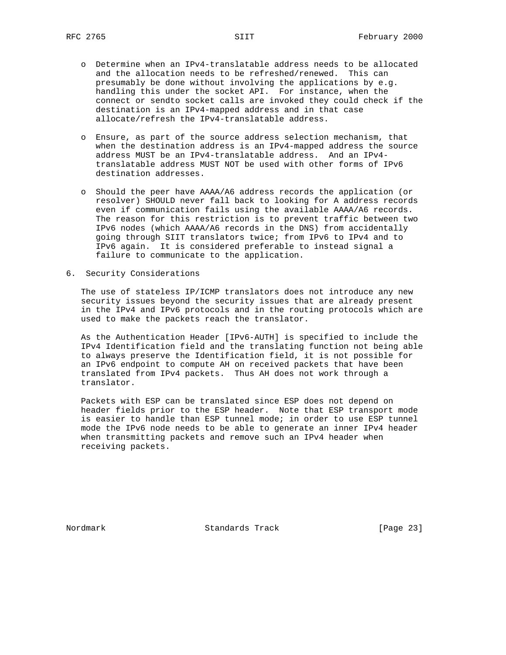- o Determine when an IPv4-translatable address needs to be allocated and the allocation needs to be refreshed/renewed. This can presumably be done without involving the applications by e.g. handling this under the socket API. For instance, when the connect or sendto socket calls are invoked they could check if the destination is an IPv4-mapped address and in that case allocate/refresh the IPv4-translatable address.
- o Ensure, as part of the source address selection mechanism, that when the destination address is an IPv4-mapped address the source address MUST be an IPv4-translatable address. And an IPv4 translatable address MUST NOT be used with other forms of IPv6 destination addresses.
- o Should the peer have AAAA/A6 address records the application (or resolver) SHOULD never fall back to looking for A address records even if communication fails using the available AAAA/A6 records. The reason for this restriction is to prevent traffic between two IPv6 nodes (which AAAA/A6 records in the DNS) from accidentally going through SIIT translators twice; from IPv6 to IPv4 and to IPv6 again. It is considered preferable to instead signal a failure to communicate to the application.
- 6. Security Considerations

 The use of stateless IP/ICMP translators does not introduce any new security issues beyond the security issues that are already present in the IPv4 and IPv6 protocols and in the routing protocols which are used to make the packets reach the translator.

 As the Authentication Header [IPv6-AUTH] is specified to include the IPv4 Identification field and the translating function not being able to always preserve the Identification field, it is not possible for an IPv6 endpoint to compute AH on received packets that have been translated from IPv4 packets. Thus AH does not work through a translator.

 Packets with ESP can be translated since ESP does not depend on header fields prior to the ESP header. Note that ESP transport mode is easier to handle than ESP tunnel mode; in order to use ESP tunnel mode the IPv6 node needs to be able to generate an inner IPv4 header when transmitting packets and remove such an IPv4 header when receiving packets.

Nordmark Standards Track [Page 23]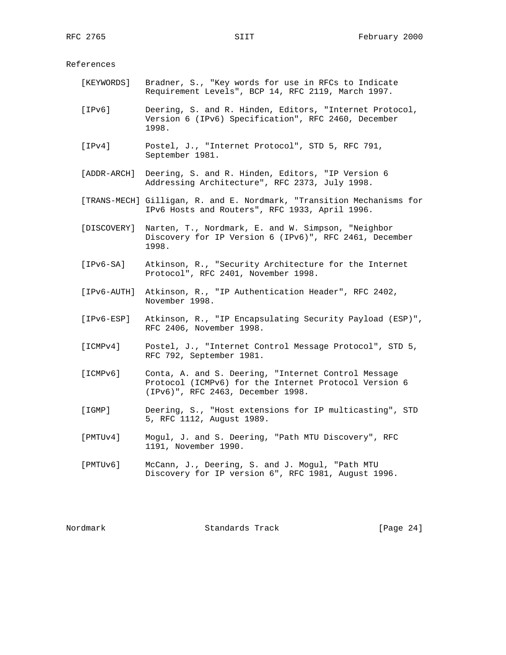References

- [KEYWORDS] Bradner, S., "Key words for use in RFCs to Indicate Requirement Levels", BCP 14, RFC 2119, March 1997.
- [IPv6] Deering, S. and R. Hinden, Editors, "Internet Protocol, Version 6 (IPv6) Specification", RFC 2460, December 1998.
- [IPv4] Postel, J., "Internet Protocol", STD 5, RFC 791, September 1981.
- [ADDR-ARCH] Deering, S. and R. Hinden, Editors, "IP Version 6 Addressing Architecture", RFC 2373, July 1998.
- [TRANS-MECH] Gilligan, R. and E. Nordmark, "Transition Mechanisms for IPv6 Hosts and Routers", RFC 1933, April 1996.
- [DISCOVERY] Narten, T., Nordmark, E. and W. Simpson, "Neighbor Discovery for IP Version 6 (IPv6)", RFC 2461, December 1998.
- [IPv6-SA] Atkinson, R., "Security Architecture for the Internet Protocol", RFC 2401, November 1998.
- [IPv6-AUTH] Atkinson, R., "IP Authentication Header", RFC 2402, November 1998.
- [IPv6-ESP] Atkinson, R., "IP Encapsulating Security Payload (ESP)", RFC 2406, November 1998.
- [ICMPv4] Postel, J., "Internet Control Message Protocol", STD 5, RFC 792, September 1981.
- [ICMPv6] Conta, A. and S. Deering, "Internet Control Message Protocol (ICMPv6) for the Internet Protocol Version 6 (IPv6)", RFC 2463, December 1998.
- [IGMP] Deering, S., "Host extensions for IP multicasting", STD 5, RFC 1112, August 1989.
- [PMTUv4] Mogul, J. and S. Deering, "Path MTU Discovery", RFC 1191, November 1990.
- [PMTUv6] McCann, J., Deering, S. and J. Mogul, "Path MTU Discovery for IP version 6", RFC 1981, August 1996.

Nordmark Standards Track [Page 24]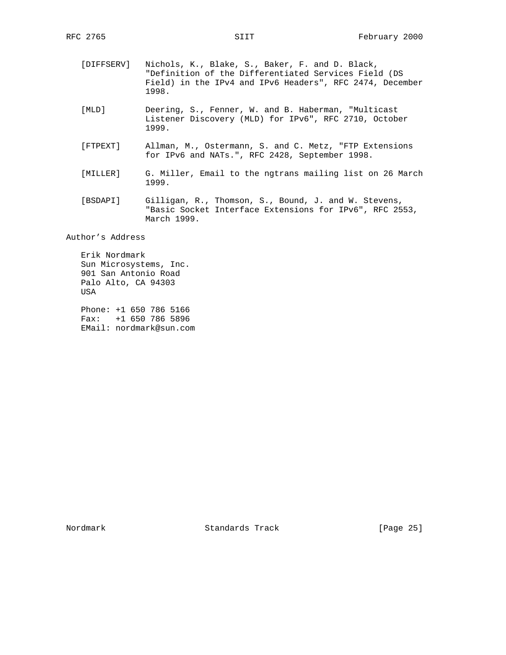- [DIFFSERV] Nichols, K., Blake, S., Baker, F. and D. Black, "Definition of the Differentiated Services Field (DS Field) in the IPv4 and IPv6 Headers", RFC 2474, December 1998.
- [MLD] Deering, S., Fenner, W. and B. Haberman, "Multicast Listener Discovery (MLD) for IPv6", RFC 2710, October 1999.
- [FTPEXT] Allman, M., Ostermann, S. and C. Metz, "FTP Extensions for IPv6 and NATs.", RFC 2428, September 1998.
- [MILLER] G. Miller, Email to the ngtrans mailing list on 26 March 1999.
- [BSDAPI] Gilligan, R., Thomson, S., Bound, J. and W. Stevens, "Basic Socket Interface Extensions for IPv6", RFC 2553, March 1999.

Author's Address

 Erik Nordmark Sun Microsystems, Inc. 901 San Antonio Road Palo Alto, CA 94303 USA

 Phone: +1 650 786 5166 Fax: +1 650 786 5896 EMail: nordmark@sun.com

Nordmark Standards Track [Page 25]